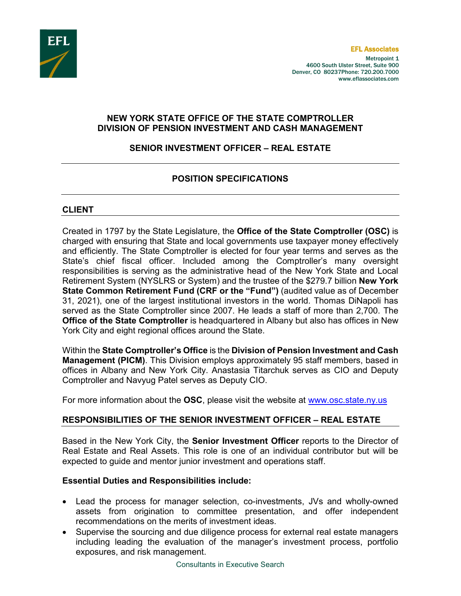

Metropoint 1 4600 South Ulster Street, Suite 900 Denver, CO 80237Phone: 720.200.7000 www.eflassociates.com

### **NEW YORK STATE OFFICE OF THE STATE COMPTROLLER DIVISION OF PENSION INVESTMENT AND CASH MANAGEMENT**

## **SENIOR INVESTMENT OFFICER – REAL ESTATE**

## **POSITION SPECIFICATIONS**

#### **CLIENT**

Created in 1797 by the State Legislature, the **Office of the State Comptroller (OSC)** is charged with ensuring that State and local governments use taxpayer money effectively and efficiently. The State Comptroller is elected for four year terms and serves as the State's chief fiscal officer. Included among the Comptroller's many oversight responsibilities is serving as the administrative head of the New York State and Local Retirement System (NYSLRS or System) and the trustee of the \$279.7 billion **New York State Common Retirement Fund (CRF or the "Fund")** (audited value as of December 31, 2021), one of the largest institutional investors in the world. Thomas DiNapoli has served as the State Comptroller since 2007. He leads a staff of more than 2,700. The **Office of the State Comptroller** is headquartered in Albany but also has offices in New York City and eight regional offices around the State.

Within the **State Comptroller's Office** is the **Division of Pension Investment and Cash Management (PICM)**. This Division employs approximately 95 staff members, based in offices in Albany and New York City. Anastasia Titarchuk serves as CIO and Deputy Comptroller and Navyug Patel serves as Deputy CIO.

For more information about the **OSC**, please visit the website at [www.osc.state.ny.us](http://www.osc.state.ny.us/)

### **RESPONSIBILITIES OF THE SENIOR INVESTMENT OFFICER – REAL ESTATE**

Based in the New York City, the **Senior Investment Officer** reports to the Director of Real Estate and Real Assets. This role is one of an individual contributor but will be expected to guide and mentor junior investment and operations staff.

### **Essential Duties and Responsibilities include:**

- Lead the process for manager selection, co-investments, JVs and wholly-owned assets from origination to committee presentation, and offer independent recommendations on the merits of investment ideas.
- Supervise the sourcing and due diligence process for external real estate managers including leading the evaluation of the manager's investment process, portfolio exposures, and risk management.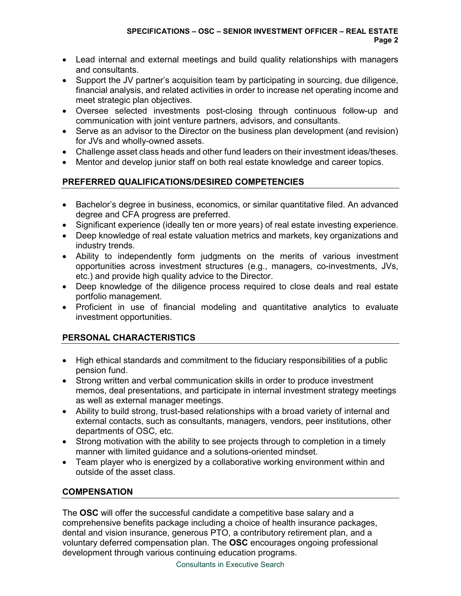- Lead internal and external meetings and build quality relationships with managers and consultants.
- Support the JV partner's acquisition team by participating in sourcing, due diligence, financial analysis, and related activities in order to increase net operating income and meet strategic plan objectives.
- Oversee selected investments post-closing through continuous follow-up and communication with joint venture partners, advisors, and consultants.
- Serve as an advisor to the Director on the business plan development (and revision) for JVs and wholly-owned assets.
- Challenge asset class heads and other fund leaders on their investment ideas/theses.
- Mentor and develop junior staff on both real estate knowledge and career topics.

# **PREFERRED QUALIFICATIONS/DESIRED COMPETENCIES**

- Bachelor's degree in business, economics, or similar quantitative filed. An advanced degree and CFA progress are preferred.
- Significant experience (ideally ten or more years) of real estate investing experience.
- Deep knowledge of real estate valuation metrics and markets, key organizations and industry trends.
- Ability to independently form judgments on the merits of various investment opportunities across investment structures (e.g., managers, co-investments, JVs, etc.) and provide high quality advice to the Director.
- Deep knowledge of the diligence process required to close deals and real estate portfolio management.
- Proficient in use of financial modeling and quantitative analytics to evaluate investment opportunities.

# **PERSONAL CHARACTERISTICS**

- High ethical standards and commitment to the fiduciary responsibilities of a public pension fund.
- Strong written and verbal communication skills in order to produce investment memos, deal presentations, and participate in internal investment strategy meetings as well as external manager meetings.
- Ability to build strong, trust-based relationships with a broad variety of internal and external contacts, such as consultants, managers, vendors, peer institutions, other departments of OSC, etc.
- Strong motivation with the ability to see projects through to completion in a timely manner with limited guidance and a solutions-oriented mindset.
- Team player who is energized by a collaborative working environment within and outside of the asset class.

# **COMPENSATION**

The **OSC** will offer the successful candidate a competitive base salary and a comprehensive benefits package including a choice of health insurance packages, dental and vision insurance, generous PTO, a contributory retirement plan, and a voluntary deferred compensation plan. The **OSC** encourages ongoing professional development through various continuing education programs.